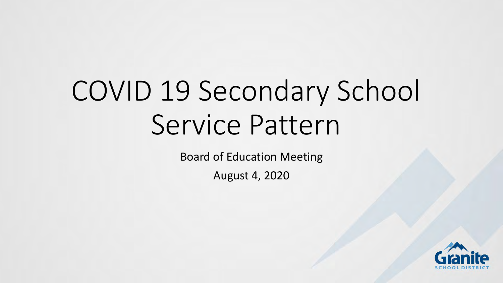# COVID 19 Secondary School Service Pattern

Board of Education Meeting

August 4, 2020

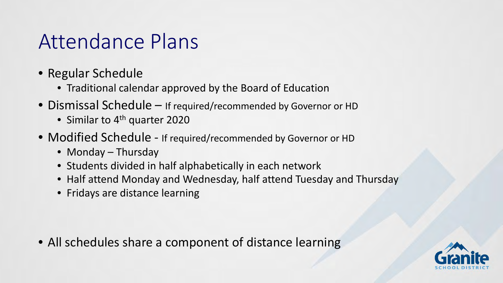#### Attendance Plans

- Regular Schedule
	- Traditional calendar approved by the Board of Education
- Dismissal Schedule If required/recommended by Governor or HD
	- Similar to 4<sup>th</sup> quarter 2020
- Modified Schedule If required/recommended by Governor or HD
	- Monday Thursday
	- Students divided in half alphabetically in each network
	- Half attend Monday and Wednesday, half attend Tuesday and Thursday
	- Fridays are distance learning

• All schedules share a component of distance learning

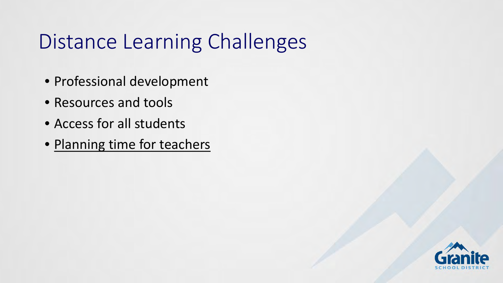## Distance Learning Challenges

- Professional development
- Resources and tools
- Access for all students
- Planning time for teachers

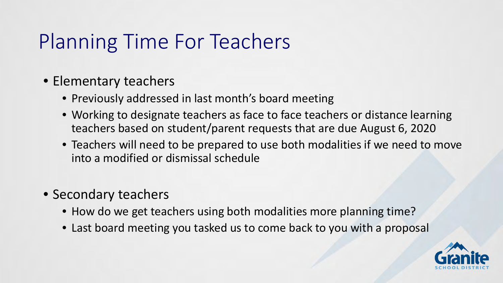### Planning Time For Teachers

- Elementary teachers
	- Previously addressed in last month's board meeting
	- Working to designate teachers as face to face teachers or distance learning teachers based on student/parent requests that are due August 6, 2020
	- Teachers will need to be prepared to use both modalities if we need to move into a modified or dismissal schedule
- Secondary teachers
	- How do we get teachers using both modalities more planning time?
	- Last board meeting you tasked us to come back to you with a proposal

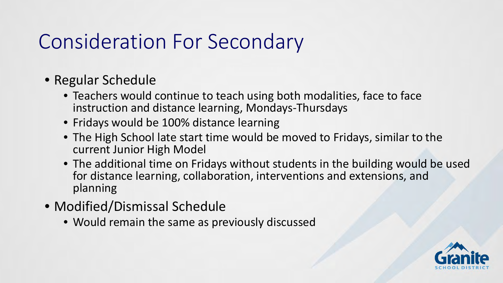#### Consideration For Secondary

- Regular Schedule
	- Teachers would continue to teach using both modalities, face to face instruction and distance learning, Mondays-Thursdays
	- Fridays would be 100% distance learning
	- The High School late start time would be moved to Fridays, similar to the current Junior High Model
	- The additional time on Fridays without students in the building would be used for distance learning, collaboration, interventions and extensions, and planning
- Modified/Dismissal Schedule
	- Would remain the same as previously discussed